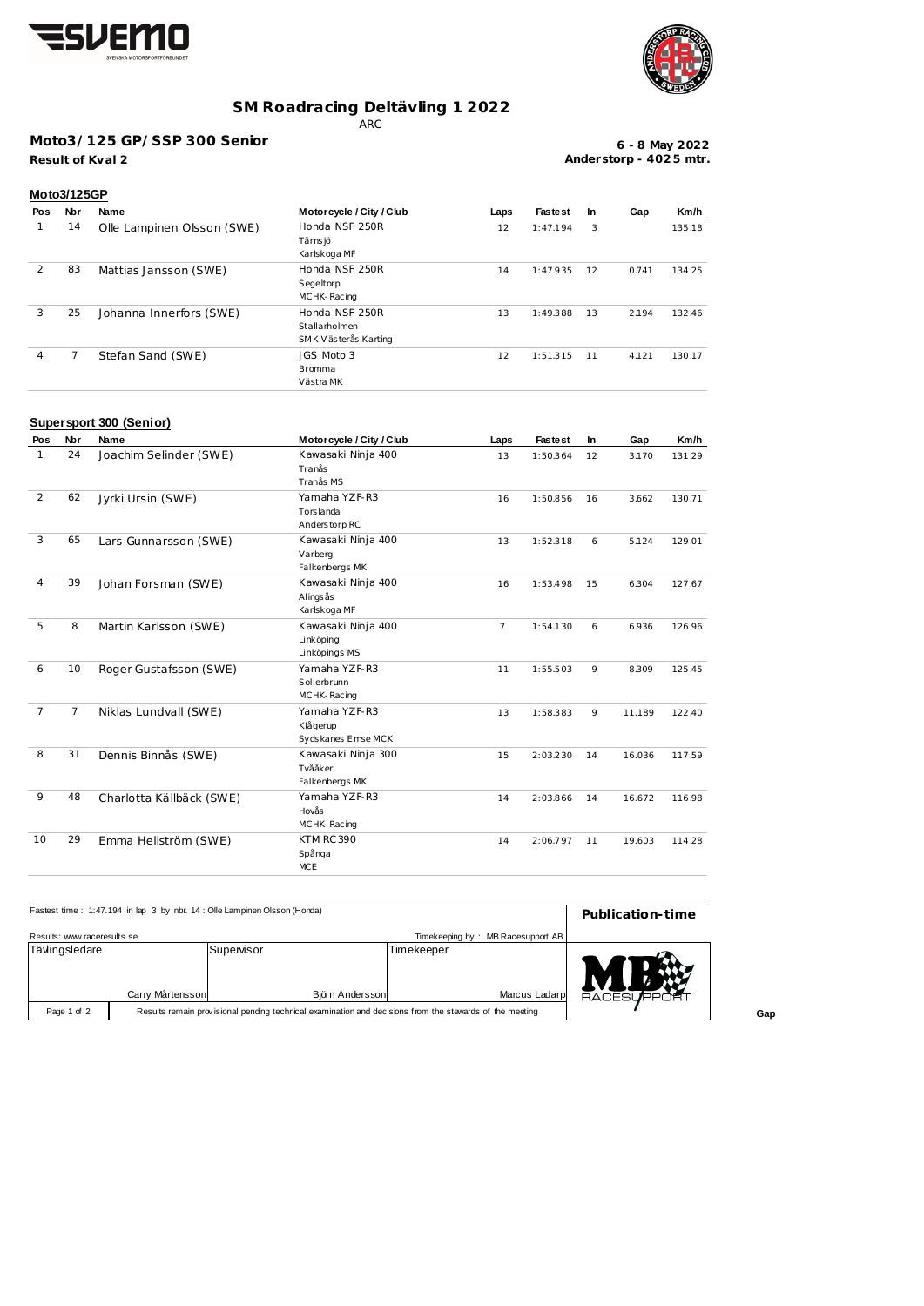



### **SM Roadracing Deltävling 1 2022**

ARC

#### **Moto3/125 GP/SSP 300 Senior**

**Result of Kval 2**

**6 - 8 May 2022 Anderstorp - 402 5 mtr.**

| Moto3/125GP |     |                            |                                                         |      |                |           |       |        |
|-------------|-----|----------------------------|---------------------------------------------------------|------|----------------|-----------|-------|--------|
| Pos         | Nbr | Name                       | Motorcycle / City / Club                                | Laps | <b>Fastest</b> | <b>In</b> | Gap   | Km/h   |
|             | 14  | Olle Lampinen Olsson (SWE) | Honda NSF 250R<br>Tärns jö<br>Karlskoga MF              | 12   | 1:47.194       | 3         |       | 135.18 |
| 2           | 83  | Mattias Jansson (SWE)      | Honda NSF 250R<br>Segeltorp<br>MCHK-Racing              | 14   | 1:47.935       | 12        | 0.741 | 134.25 |
| 3           | 25  | Johanna Innerfors (SWE)    | Honda NSF 250R<br>Stallarholmen<br>SMK Västerås Karting | 13   | 1:49.388       | 13        | 2.194 | 132.46 |
| 4           | 7   | Stefan Sand (SWE)          | JGS Moto 3<br><b>Bromma</b><br>Västra MK                | 12   | 1:51.315       | 11        | 4.121 | 130.17 |

# **Supersport 300 (Senior)**

| Pos            | <b>Nbr</b> | Name                     | Motorcycle / City / Club                         | Laps           | <b>Fastest</b> | In. | Gap    | Km/h   |
|----------------|------------|--------------------------|--------------------------------------------------|----------------|----------------|-----|--------|--------|
| $\mathbf{1}$   | 24         | Joachim Selinder (SWE)   | Kawasaki Ninja 400<br>Tranås<br>Tranås MS        | 13             | 1:50.364       | 12  | 3.170  | 131.29 |
| 2              | 62         | Jyrki Ursin (SWE)        | Yamaha YZF-R3<br>Torslanda<br>Anderstorp RC      | 16             | 1:50.856       | 16  | 3.662  | 130.71 |
| 3              | 65         | Lars Gunnarsson (SWE)    | Kawasaki Ninja 400<br>Varberg<br>Falkenbergs MK  | 13             | 1:52.318       | 6   | 5.124  | 129.01 |
| 4              | 39         | Johan Forsman (SWE)      | Kawasaki Ninja 400<br>Alings ås<br>Karlskoga MF  | 16             | 1:53.498       | 15  | 6.304  | 127.67 |
| 5              | 8          | Martin Karlsson (SWE)    | Kawasaki Ninja 400<br>Linköping<br>Linköpings MS | $\overline{7}$ | 1:54.130       | 6   | 6.936  | 126.96 |
| 6              | 10         | Roger Gustafsson (SWE)   | Yamaha YZF-R3<br>Sollerbrunn<br>MCHK-Racing      | 11             | 1:55.503       | 9   | 8.309  | 125.45 |
| $\overline{7}$ | 7          | Niklas Lundvall (SWE)    | Yamaha YZF-R3<br>Klågerup<br>Sydskanes Emse MCK  | 13             | 1:58.383       | 9   | 11.189 | 122.40 |
| 8              | 31         | Dennis Binnås (SWE)      | Kawasaki Ninja 300<br>Tvååker<br>Falkenbergs MK  | 15             | 2:03.230       | 14  | 16.036 | 117.59 |
| 9              | 48         | Charlotta Källbäck (SWE) | Yamaha YZF-R3<br>Hovås<br>MCHK-Racing            | 14             | 2:03.866       | 14  | 16.672 | 116.98 |
| 10             | 29         | Emma Hellström (SWE)     | <b>KTM RC 390</b><br>Spånga<br><b>MCE</b>        | 14             | 2:06.797       | 11  | 19.603 | 114.28 |

| Fastest time: 1:47.194 in lap 3 by nbr. 14 : Olle Lampinen Olsson (Honda) | Publication-time |                                                                                                         |                                   |                 |
|---------------------------------------------------------------------------|------------------|---------------------------------------------------------------------------------------------------------|-----------------------------------|-----------------|
| Results: www.raceresults.se                                               |                  |                                                                                                         | Timekeeping by: MB Racesupport AB |                 |
| Tävlingsledare                                                            |                  | Supervisor                                                                                              | Timekeeper                        |                 |
|                                                                           | Carry Mårtensson | Björn Andersson                                                                                         | Marcus Ladarp                     | <b>RACESUPR</b> |
| Page 1 of 2                                                               |                  | Results remain provisional pending technical examination and decisions from the stewards of the meeting |                                   |                 |

**Gap**